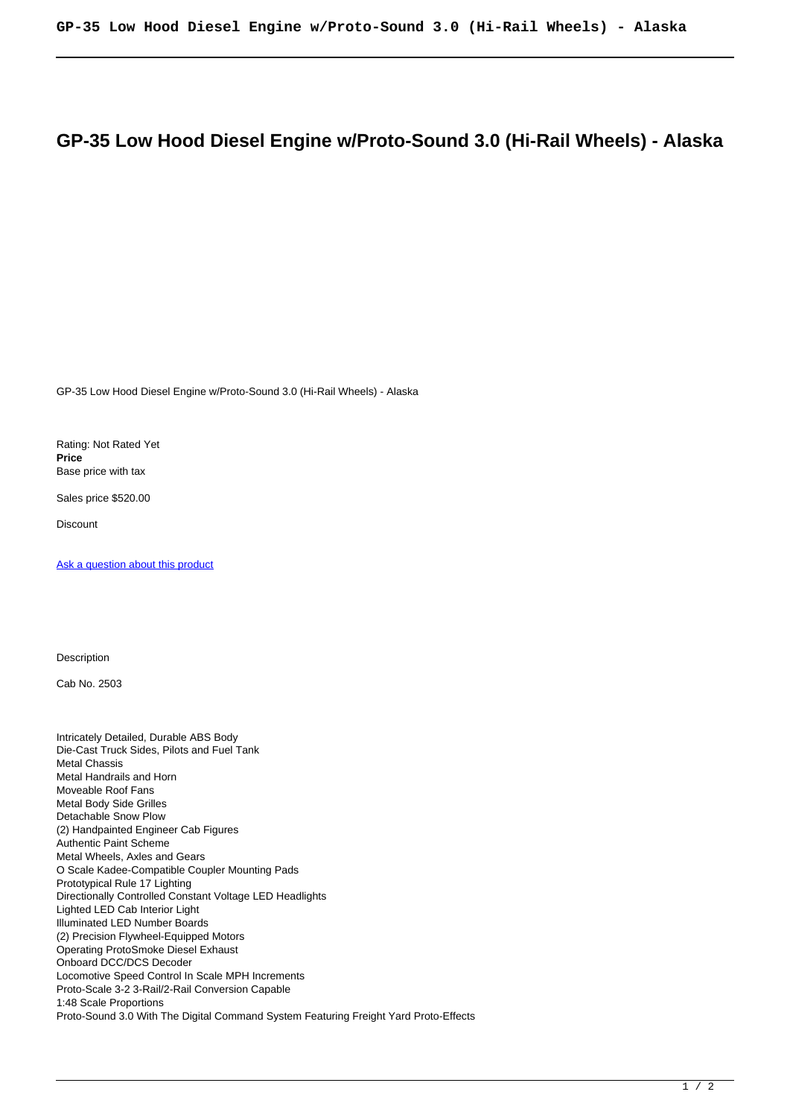## **GP-35 Low Hood Diesel Engine w/Proto-Sound 3.0 (Hi-Rail Wheels) - Alaska**

GP-35 Low Hood Diesel Engine w/Proto-Sound 3.0 (Hi-Rail Wheels) - Alaska

Rating: Not Rated Yet **Price**  Base price with tax

Sales price \$520.00

**Discount** 

Ask a question about this product

**Description** 

Cab No. 2503

Intricately Detailed, Durable ABS Body Die-Cast Truck Sides, Pilots and Fuel Tank Metal Chassis Metal Handrails and Horn Moveable Roof Fans Metal Body Side Grilles Detachable Snow Plow (2) Handpainted Engineer Cab Figures Authentic Paint Scheme Metal Wheels, Axles and Gears O Scale Kadee-Compatible Coupler Mounting Pads Prototypical Rule 17 Lighting Directionally Controlled Constant Voltage LED Headlights Lighted LED Cab Interior Light Illuminated LED Number Boards (2) Precision Flywheel-Equipped Motors Operating ProtoSmoke Diesel Exhaust Onboard DCC/DCS Decoder Locomotive Speed Control In Scale MPH Increments Proto-Scale 3-2 3-Rail/2-Rail Conversion Capable 1:48 Scale Proportions Proto-Sound 3.0 With The Digital Command System Featuring Freight Yard Proto-Effects